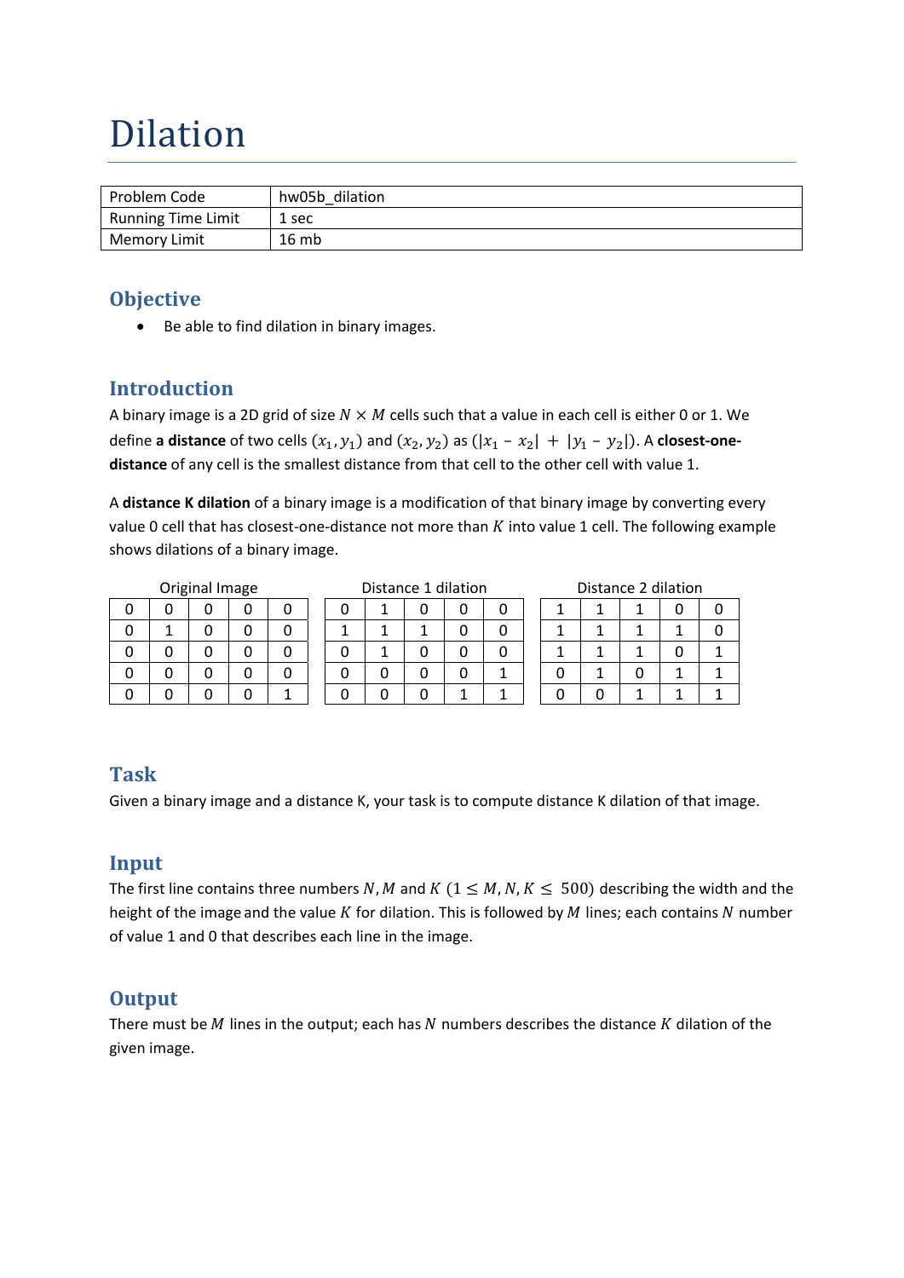# Dilation

| Problem Code        | hw05b dilation |
|---------------------|----------------|
| Running Time Limit  | 1 sec          |
| <b>Memory Limit</b> | 16mb           |

### **Objective**

• Be able to find dilation in binary images.

# **Introduction**

A binary image is a 2D grid of size  $N \times M$  cells such that a value in each cell is either 0 or 1. We define **a** distance of two cells  $(x_1, y_1)$  and  $(x_2, y_2)$  as  $(|x_1 - x_2| + |y_1 - y_2|)$ . A closest-onedistance of any cell is the smallest distance from that cell to the other cell with value 1.

A **distance K dilation** of a binary image is a modification of that binary image by converting every value 0 cell that has closest-one-distance not more than  $K$  into value 1 cell. The following example shows dilations of a binary image.

|  | Driginal Image |
|--|----------------|

Original Image Distance 1 dilation Distance 2 dilation

| . . | ີ |  |              |   |   |   |  |                      |
|-----|---|--|--------------|---|---|---|--|----------------------|
|     |   |  | $\mathbf{1}$ |   |   |   |  | $\mathbf{A}$         |
|     |   |  | 1            | 1 |   |   |  | $\blacktriangleleft$ |
|     |   |  | 1            |   |   |   |  | $\blacktriangleleft$ |
|     |   |  |              |   |   | ◢ |  | 1                    |
|     |   |  |              |   | 1 | л |  | 0                    |

|   |   |   | 0 | 0 |
|---|---|---|---|---|
|   | 1 | 1 |   | 0 |
|   | 1 |   | 0 | 1 |
| 0 |   | 0 |   |   |
| 0 | 0 | 1 |   |   |

#### **Task**

Given a binary image and a distance K, your task is to compute distance K dilation of that image.

# **Input**

The first line contains three numbers N, M and K ( $1 \le M$ , N,  $K \le 500$ ) describing the width and the height of the image and the value  $K$  for dilation. This is followed by  $M$  lines; each contains  $N$  number of value 1 and 0 that describes each line in the image.

# **Output**

There must be  $M$  lines in the output; each has  $N$  numbers describes the distance  $K$  dilation of the given image.